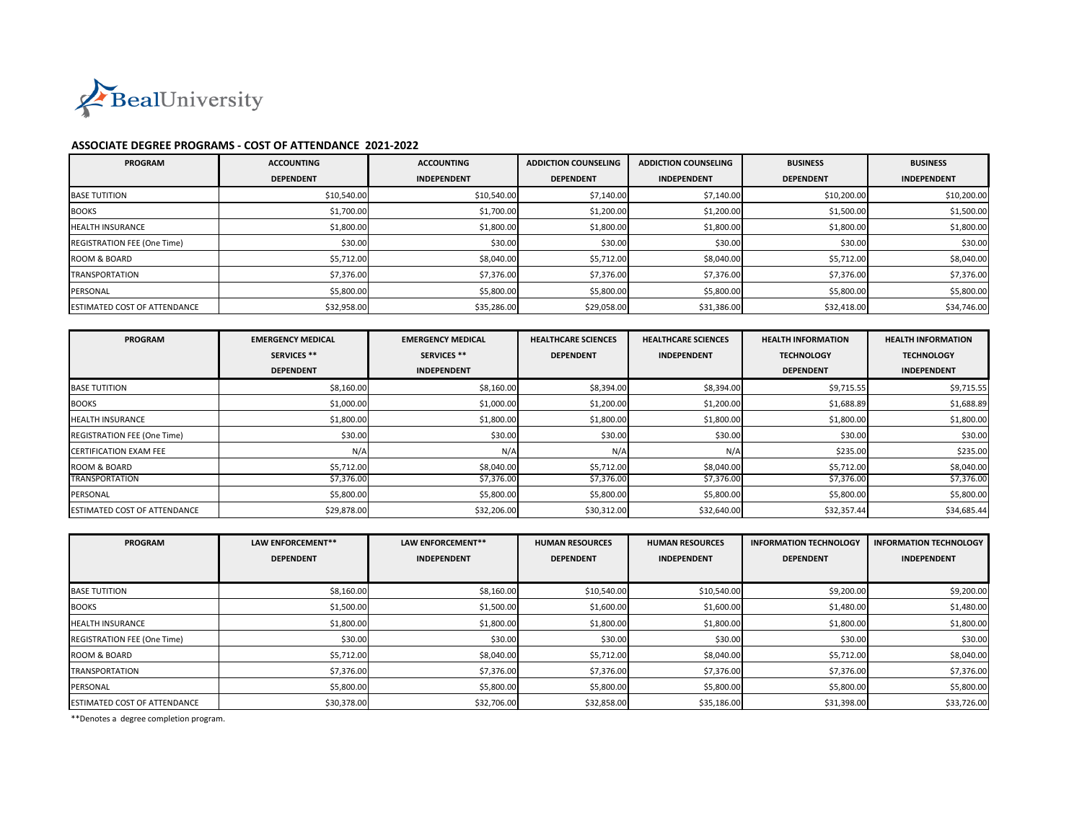

## **ASSOCIATE DEGREE PROGRAMS - COST OF ATTENDANCE 2021-2022**

| <b>PROGRAM</b>                       | <b>ACCOUNTING</b> | <b>ACCOUNTING</b>  | <b>ADDICTION COUNSELING</b> | <b>ADDICTION COUNSELING</b> | <b>BUSINESS</b>  | <b>BUSINESS</b>    |
|--------------------------------------|-------------------|--------------------|-----------------------------|-----------------------------|------------------|--------------------|
|                                      | <b>DEPENDENT</b>  | <b>INDEPENDENT</b> | <b>DEPENDENT</b>            | <b>INDEPENDENT</b>          | <b>DEPENDENT</b> | <b>INDEPENDENT</b> |
| <b>BASE TUTITION</b>                 | \$10,540.00       | \$10,540.00        | \$7,140.00                  | \$7,140.00                  | \$10,200.00      | \$10,200.00        |
| <b>BOOKS</b>                         | \$1,700.00        | \$1,700.00         | \$1,200.00                  | \$1,200.00                  | \$1,500.00       | \$1,500.00         |
| <b>HEALTH INSURANCE</b>              | \$1,800.00        | \$1,800.00         | \$1,800.00                  | \$1,800.00                  | \$1,800.00       | \$1,800.00         |
| <b>REGISTRATION FEE (One Time)</b>   | \$30.00           | \$30.00            | \$30.00                     | \$30.00                     | \$30.00          | \$30.00            |
| <b>ROOM &amp; BOARD</b>              | \$5,712.00        | \$8,040.00         | \$5,712.00                  | \$8,040.00                  | \$5,712.00       | \$8,040.00         |
| <b>TRANSPORTATION</b>                | \$7,376.00        | \$7,376.00         | \$7,376.00                  | \$7,376.00                  | \$7,376.00       | \$7,376.00         |
| PERSONAL                             | \$5,800.00        | \$5,800.00         | \$5,800.00                  | \$5,800.00                  | \$5,800.00       | \$5,800.00         |
| <b>IESTIMATED COST OF ATTENDANCE</b> | \$32,958.00       | \$35,286.00        | \$29,058.00                 | \$31,386.00                 | \$32,418.00      | \$34,746.00        |

| <b>PROGRAM</b>                       | <b>EMERGENCY MEDICAL</b> | <b>EMERGENCY MEDICAL</b> | <b>HEALTHCARE SCIENCES</b> | <b>HEALTHCARE SCIENCES</b> | <b>HEALTH INFORMATION</b> | <b>HEALTH INFORMATION</b> |
|--------------------------------------|--------------------------|--------------------------|----------------------------|----------------------------|---------------------------|---------------------------|
|                                      | <b>SERVICES **</b>       | <b>SERVICES **</b>       | <b>DEPENDENT</b>           | <b>INDEPENDENT</b>         | <b>TECHNOLOGY</b>         | <b>TECHNOLOGY</b>         |
|                                      | <b>DEPENDENT</b>         | <b>INDEPENDENT</b>       |                            |                            | <b>DEPENDENT</b>          | <b>INDEPENDENT</b>        |
| <b>BASE TUTITION</b>                 | \$8,160.00               | \$8,160.00               | \$8,394.00                 | \$8,394.00                 | \$9,715.55                | \$9,715.55                |
| <b>BOOKS</b>                         | \$1,000.00               | \$1,000.00               | \$1,200.00                 | \$1,200.00                 | \$1,688.89                | \$1,688.89                |
| <b>HEALTH INSURANCE</b>              | \$1,800.00               | \$1,800.00               | \$1,800.00                 | \$1,800.00                 | \$1,800.00                | \$1,800.00                |
| <b>REGISTRATION FEE (One Time)</b>   | \$30.00                  | \$30.00                  | \$30.00                    | \$30.00                    | \$30.00                   | \$30.00                   |
| <b>CERTIFICATION EXAM FEE</b>        | N/A                      | N/A                      | N/A                        | N/A                        | \$235.00                  | \$235.00                  |
| <b>ROOM &amp; BOARD</b>              | \$5,712.00               | \$8,040.00               | \$5,712.00                 | \$8,040.00                 | \$5,712.00                | \$8,040.00                |
| <b>TRANSPORTATION</b>                | \$7,376.00               | \$7,376.00               | \$7,376.00                 | \$7,376.00                 | \$7,376.00                | \$7,376.00                |
| PERSONAL                             | \$5,800.00               | \$5,800.00               | \$5,800.00                 | \$5,800.00                 | \$5,800.00                | \$5,800.00                |
| <b>IESTIMATED COST OF ATTENDANCE</b> | \$29,878.00              | \$32,206.00              | \$30,312.00                | \$32,640.00                | \$32,357.44               | \$34,685.44               |

| <b>PROGRAM</b>                       | LAW ENFORCEMENT**<br><b>DEPENDENT</b> | LAW ENFORCEMENT**<br><b>INDEPENDENT</b> | <b>HUMAN RESOURCES</b><br><b>DEPENDENT</b> | <b>HUMAN RESOURCES</b><br><b>INDEPENDENT</b> | <b>INFORMATION TECHNOLOGY</b><br><b>DEPENDENT</b> | <b>INFORMATION TECHNOLOGY</b><br><b>INDEPENDENT</b> |
|--------------------------------------|---------------------------------------|-----------------------------------------|--------------------------------------------|----------------------------------------------|---------------------------------------------------|-----------------------------------------------------|
| <b>BASE TUTITION</b>                 | \$8,160.00                            | \$8,160.00                              | \$10,540.00                                | \$10,540.00                                  | \$9,200.00                                        | \$9,200.00                                          |
| <b>BOOKS</b>                         | \$1,500.00                            | \$1,500.00                              | \$1,600.00                                 | \$1,600.00                                   | \$1,480.00                                        | \$1,480.00                                          |
| <b>HEALTH INSURANCE</b>              | \$1,800.00                            | \$1,800.00                              | \$1,800.00                                 | \$1,800.00                                   | \$1,800.00                                        | \$1,800.00                                          |
| <b>REGISTRATION FEE (One Time)</b>   | \$30.00                               | \$30.00                                 | \$30.00                                    | \$30.00                                      | \$30.00                                           | \$30.00                                             |
| <b>ROOM &amp; BOARD</b>              | \$5,712.00                            | \$8,040.00                              | \$5,712.00                                 | \$8,040.00                                   | \$5,712.00                                        | \$8,040.00                                          |
| <b>ITRANSPORTATION</b>               | \$7,376.00                            | \$7,376.00                              | \$7,376.00                                 | \$7,376.00                                   | \$7,376.00                                        | \$7,376.00                                          |
| PERSONAL                             | \$5,800.00                            | \$5,800.00                              | \$5,800.00                                 | \$5,800.00                                   | \$5,800.00                                        | \$5,800.00                                          |
| <b>LESTIMATED COST OF ATTENDANCE</b> | \$30,378.00                           | \$32,706.00                             | \$32,858.00                                | \$35,186.00                                  | \$31,398.00                                       | \$33,726.00                                         |

\*\*Denotes a degree completion program.